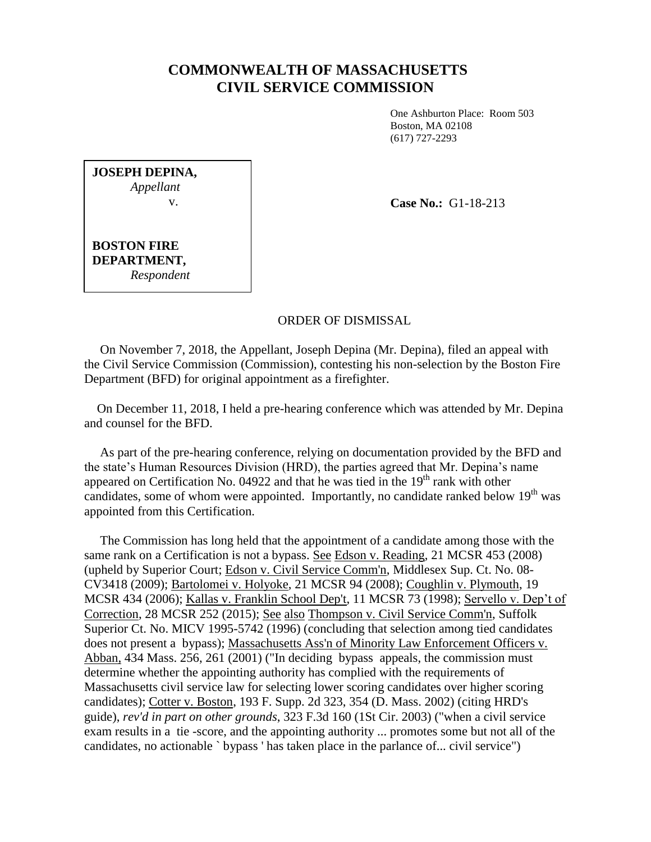## **COMMONWEALTH OF MASSACHUSETTS CIVIL SERVICE COMMISSION**

One Ashburton Place: Room 503 Boston, MA 02108 (617) 727-2293

| <b>JOSEPH DEPINA,</b><br>Appellant |  |
|------------------------------------|--|
| $V_{\star}$                        |  |
|                                    |  |
| BOSTON FIRE                        |  |

*Respondent*

**DEPARTMENT,**

**Case No.:** G1-18-213

ORDER OF DISMISSAL

 On November 7, 2018, the Appellant, Joseph Depina (Mr. Depina), filed an appeal with the Civil Service Commission (Commission), contesting his non-selection by the Boston Fire Department (BFD) for original appointment as a firefighter.

 On December 11, 2018, I held a pre-hearing conference which was attended by Mr. Depina and counsel for the BFD.

 As part of the pre-hearing conference, relying on documentation provided by the BFD and the state's Human Resources Division (HRD), the parties agreed that Mr. Depina's name appeared on Certification No. 04922 and that he was tied in the  $19<sup>th</sup>$  rank with other candidates, some of whom were appointed. Importantly, no candidate ranked below  $19<sup>th</sup>$  was appointed from this Certification.

 The Commission has long held that the appointment of a candidate among those with the same rank on a Certification is not a bypass. See Edson v. Reading, 21 MCSR 453 (2008) (upheld by Superior Court; Edson v. Civil Service Comm'n, Middlesex Sup. Ct. No. 08- CV3418 (2009); Bartolomei v. Holyoke, 21 MCSR 94 (2008); Coughlin v. Plymouth, 19 MCSR 434 (2006); Kallas v. Franklin School Dep't, 11 MCSR 73 (1998); Servello v. Dep't of Correction, 28 MCSR 252 (2015); See also Thompson v. Civil Service Comm'n, Suffolk Superior Ct. No. MICV 1995-5742 (1996) (concluding that selection among tied candidates does not present a bypass); Massachusetts Ass'n of Minority Law Enforcement Officers v. Abban, 434 Mass. 256, 261 (2001) ("In deciding bypass appeals, the commission must determine whether the appointing authority has complied with the requirements of Massachusetts civil service law for selecting lower scoring candidates over higher scoring candidates); Cotter v. Boston, 193 F. Supp. 2d 323, 354 (D. Mass. 2002) (citing HRD's guide), *rev'd in part on other grounds*, 323 F.3d 160 (1St Cir. 2003) ("when a civil service exam results in a tie -score, and the appointing authority ... promotes some but not all of the candidates, no actionable ` bypass ' has taken place in the parlance of... civil service")